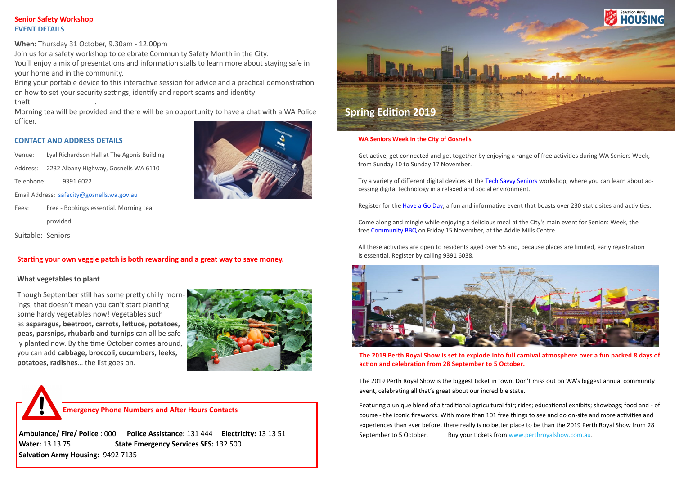## **Senior Safety Workshop EVENT DETAILS**

**When:** Thursday 31 October, 9.30am - 12.00pm

Join us for a safety workshop to celebrate Community Safety Month in the City. You'll enjoy a mix of presentations and information stalls to learn more about staying safe in your home and in the community.

Bring your portable device to this interactive session for advice and a practical demonstration on how to set your security settings, identify and report scams and identity theft .

Morning tea will be provided and there will be an opportunity to have a chat with a WA Police officer.

#### **CONTACT AND ADDRESS DETAILS**

Venue: Lyal Richardson Hall at The Agonis Building Address: 2232 Albany Highway, Gosnells WA 6110 Telephone: 9391 6022 Email Address: [safecity@gosnells.wa.gov.au](mailto:safecity@gosnells.wa.gov.au?subject=Website%20enquiry%20about%20Senior%20Safety%20Workshop&body=First%20name:%0D%0ALast%20name:%0D%0AContact%20phone%20number:%0D%0AComment%20or%20question:) Fees: Free - Bookings essential. Morning tea provided

Suitable: Seniors

## **Starting your own veggie patch is both rewarding and a great way to save money.**

#### **What vegetables to plant**

Though September still has some pretty chilly mornings, that doesn't mean you can't start planting some hardy vegetables now! Vegetables such as **asparagus, beetroot, carrots, lettuce, potatoes, peas, parsnips, rhubarb and turnips** can all be safely planted now. By the time October comes around, you can add **cabbage, broccoli, cucumbers, leeks, potatoes, radishes**… the list goes on.



Featuring a unique blend of a traditional agricultural fair; rides; educational exhibits; showbags; food and - of course - the iconic fireworks. With more than 101 free things to see and do on-site and more activities and experiences than ever before, there really is no better place to be than the 2019 Perth Royal Show from 28 September to 5 October. Buy your tickets from [www.perthroyalshow.com.au.](http://www.perthroyalshow.com.au/)



**Ambulance/ Fire/ Police** : 000 **Police Assistance:** 131 444 **Electricity:** 13 13 51 **Water:** 13 13 75 **State Emergency Services SES:** 132 500 **Salvation Army Housing:** 9492 7135





#### **WA Seniors Week in the City of Gosnells**

Get active, get connected and get together by enjoying a range of free activities during WA Seniors Week, from Sunday 10 to Sunday 17 November.

Try a variety of different digital devices at the [Tech Savvy Seniors](https://gosnells.us13.list-manage.com/track/click?u=b84a35f9ac64e80e77603e371&id=89197e2874&e=d7bba89dae) workshop, where you can learn about accessing digital technology in a relaxed and social environment.

Register for the [Have a Go Day,](https://gosnells.us13.list-manage.com/track/click?u=b84a35f9ac64e80e77603e371&id=e54094010c&e=d7bba89dae) a fun and informative event that boasts over 230 static sites and activities.

Come along and mingle while enjoying a delicious meal at the City's main event for Seniors Week, the free [Community BBQ](https://gosnells.us13.list-manage.com/track/click?u=b84a35f9ac64e80e77603e371&id=97e5179f53&e=d7bba89dae) on Friday 15 November, at the Addie Mills Centre.

All these activities are open to residents aged over 55 and, because places are limited, early registration is essential. Register by calling 9391 6038.



**The 2019 Perth Royal Show is set to explode into full carnival atmosphere over a fun packed 8 days of action and celebration from 28 September to 5 October.**

The 2019 Perth Royal Show is the biggest ticket in town. Don't miss out on WA's biggest annual community event, celebrating all that's great about our incredible state.